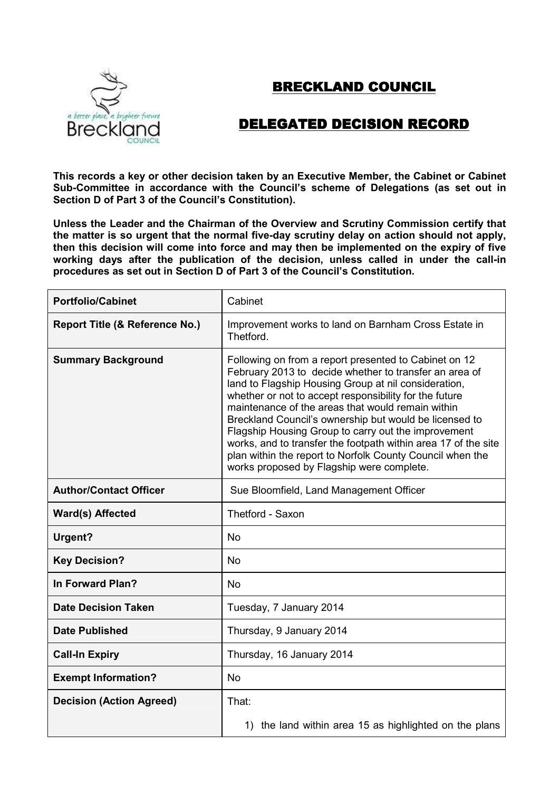## BRECKLAND COUNCIL



## DELEGATED DECISION RECORD

**This records a key or other decision taken by an Executive Member, the Cabinet or Cabinet Sub-Committee in accordance with the Council's scheme of Delegations (as set out in Section D of Part 3 of the Council's Constitution).**

**Unless the Leader and the Chairman of the Overview and Scrutiny Commission certify that the matter is so urgent that the normal five-day scrutiny delay on action should not apply, then this decision will come into force and may then be implemented on the expiry of five working days after the publication of the decision, unless called in under the call-in procedures as set out in Section D of Part 3 of the Council's Constitution.**

| <b>Portfolio/Cabinet</b>                  | Cabinet                                                                                                                                                                                                                                                                                                                                                                                                                                                                                                                                                                             |
|-------------------------------------------|-------------------------------------------------------------------------------------------------------------------------------------------------------------------------------------------------------------------------------------------------------------------------------------------------------------------------------------------------------------------------------------------------------------------------------------------------------------------------------------------------------------------------------------------------------------------------------------|
| <b>Report Title (&amp; Reference No.)</b> | Improvement works to land on Barnham Cross Estate in<br>Thetford.                                                                                                                                                                                                                                                                                                                                                                                                                                                                                                                   |
| <b>Summary Background</b>                 | Following on from a report presented to Cabinet on 12<br>February 2013 to decide whether to transfer an area of<br>land to Flagship Housing Group at nil consideration,<br>whether or not to accept responsibility for the future<br>maintenance of the areas that would remain within<br>Breckland Council's ownership but would be licensed to<br>Flagship Housing Group to carry out the improvement<br>works, and to transfer the footpath within area 17 of the site<br>plan within the report to Norfolk County Council when the<br>works proposed by Flagship were complete. |
| <b>Author/Contact Officer</b>             | Sue Bloomfield, Land Management Officer                                                                                                                                                                                                                                                                                                                                                                                                                                                                                                                                             |
| <b>Ward(s) Affected</b>                   | Thetford - Saxon                                                                                                                                                                                                                                                                                                                                                                                                                                                                                                                                                                    |
| Urgent?                                   | <b>No</b>                                                                                                                                                                                                                                                                                                                                                                                                                                                                                                                                                                           |
| <b>Key Decision?</b>                      | <b>No</b>                                                                                                                                                                                                                                                                                                                                                                                                                                                                                                                                                                           |
| In Forward Plan?                          | <b>No</b>                                                                                                                                                                                                                                                                                                                                                                                                                                                                                                                                                                           |
| <b>Date Decision Taken</b>                | Tuesday, 7 January 2014                                                                                                                                                                                                                                                                                                                                                                                                                                                                                                                                                             |
| <b>Date Published</b>                     | Thursday, 9 January 2014                                                                                                                                                                                                                                                                                                                                                                                                                                                                                                                                                            |
| <b>Call-In Expiry</b>                     | Thursday, 16 January 2014                                                                                                                                                                                                                                                                                                                                                                                                                                                                                                                                                           |
| <b>Exempt Information?</b>                | <b>No</b>                                                                                                                                                                                                                                                                                                                                                                                                                                                                                                                                                                           |
| <b>Decision (Action Agreed)</b>           | That:<br>1) the land within area 15 as highlighted on the plans                                                                                                                                                                                                                                                                                                                                                                                                                                                                                                                     |
|                                           |                                                                                                                                                                                                                                                                                                                                                                                                                                                                                                                                                                                     |